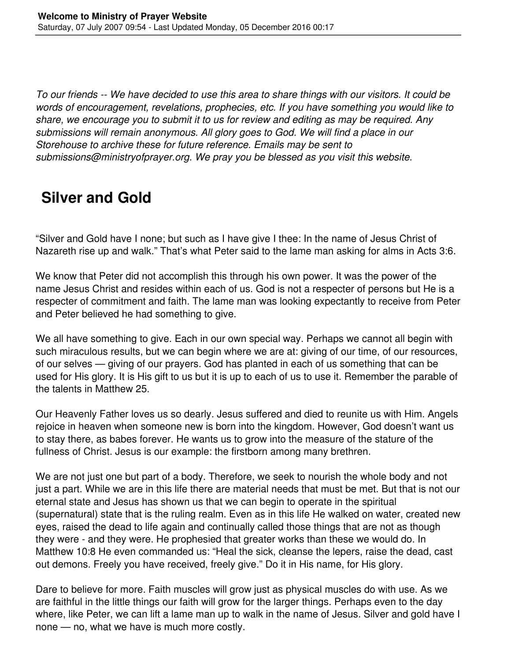To our friends -- We have decided to use this area to share things with our visitors. It could be *words of encouragement, revelations, prophecies, etc. If you have something you would like to share, we encourage you to submit it to us for review and editing as may be required. Any submissions will remain anonymous. All glory goes to God. We will find a place in our Storehouse to archive these for future reference. Emails may be sent to submissions@ministryofprayer.org. We pray you be blessed as you visit this website.*

## **Silver and Gold**

"Silver and Gold have I none; but such as I have give I thee: In the name of Jesus Christ of Nazareth rise up and walk." That's what Peter said to the lame man asking for alms in Acts 3:6.

We know that Peter did not accomplish this through his own power. It was the power of the name Jesus Christ and resides within each of us. God is not a respecter of persons but He is a respecter of commitment and faith. The lame man was looking expectantly to receive from Peter and Peter believed he had something to give.

We all have something to give. Each in our own special way. Perhaps we cannot all begin with such miraculous results, but we can begin where we are at: giving of our time, of our resources, of our selves — giving of our prayers. God has planted in each of us something that can be used for His glory. It is His gift to us but it is up to each of us to use it. Remember the parable of the talents in Matthew 25.

Our Heavenly Father loves us so dearly. Jesus suffered and died to reunite us with Him. Angels rejoice in heaven when someone new is born into the kingdom. However, God doesn't want us to stay there, as babes forever. He wants us to grow into the measure of the stature of the fullness of Christ. Jesus is our example: the firstborn among many brethren.

We are not just one but part of a body. Therefore, we seek to nourish the whole body and not just a part. While we are in this life there are material needs that must be met. But that is not our eternal state and Jesus has shown us that we can begin to operate in the spiritual (supernatural) state that is the ruling realm. Even as in this life He walked on water, created new eyes, raised the dead to life again and continually called those things that are not as though they were - and they were. He prophesied that greater works than these we would do. In Matthew 10:8 He even commanded us: "Heal the sick, cleanse the lepers, raise the dead, cast out demons. Freely you have received, freely give." Do it in His name, for His glory.

Dare to believe for more. Faith muscles will grow just as physical muscles do with use. As we are faithful in the little things our faith will grow for the larger things. Perhaps even to the day where, like Peter, we can lift a lame man up to walk in the name of Jesus. Silver and gold have I none — no, what we have is much more costly.